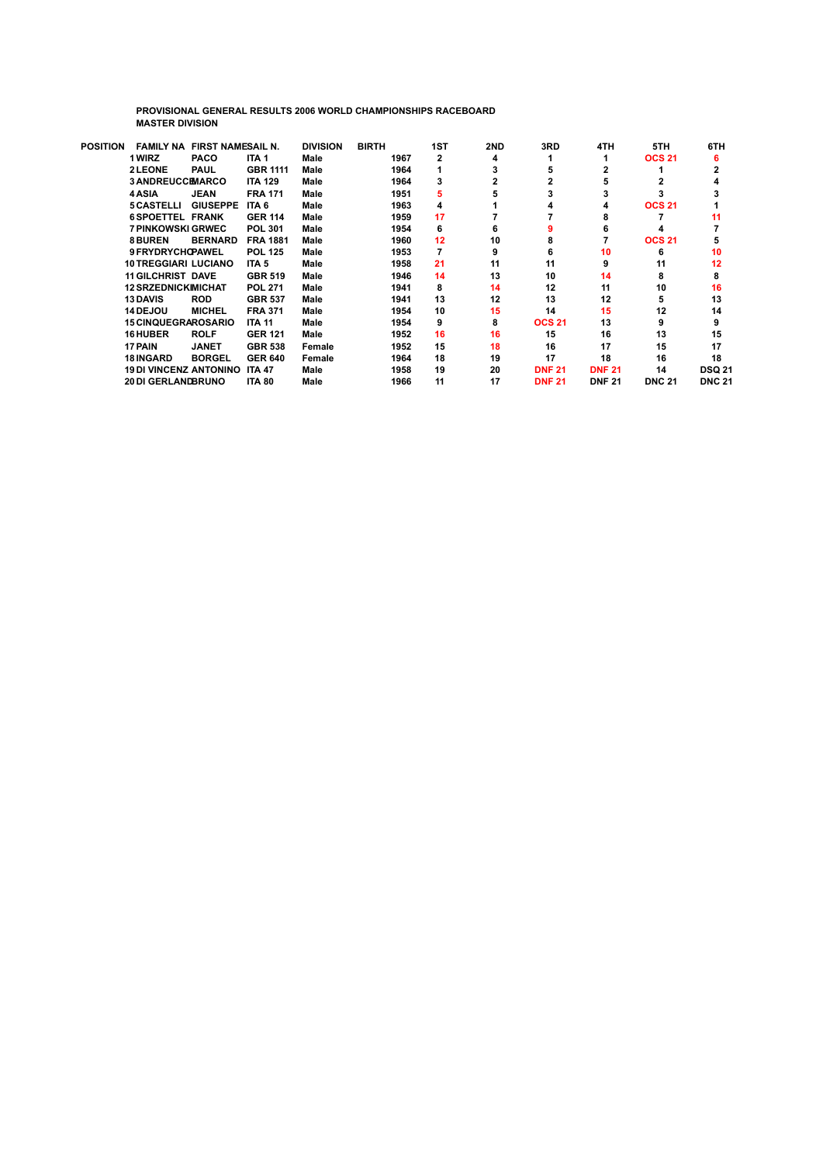**PROVISIONAL GENERAL RESULTS 2006 WORLD CHAMPIONSHIPS RACEBOARD MASTER DIVISION**

| <b>POSITION</b> | <b>FAMILY NA</b>                     | <b>FIRST NAMESAIL N.</b> |                  | <b>DIVISION</b> | <b>BIRTH</b> | 1ST | 2ND | 3RD           | 4TH           | 5TH           | 6TH           |
|-----------------|--------------------------------------|--------------------------|------------------|-----------------|--------------|-----|-----|---------------|---------------|---------------|---------------|
|                 | 1 WIRZ                               | <b>PACO</b>              | ITA <sub>1</sub> | Male            | 1967         | 2   | 4   |               |               | <b>OCS 21</b> |               |
|                 | <b>2LEONE</b>                        | <b>PAUL</b>              | <b>GBR 1111</b>  | Male            | 1964         |     | з   | 5             |               |               |               |
|                 | <b>3 ANDREUCCEMARCO</b>              |                          | <b>ITA 129</b>   | Male            | 1964         | 3   |     |               |               |               |               |
|                 | 4 ASIA                               | <b>JEAN</b>              | <b>FRA 171</b>   | Male            | 1951         | 5   | 5   |               |               |               |               |
|                 | <b>5 CASTELLI</b>                    | <b>GIUSEPPE</b>          | ITA 6            | Male            | 1963         | 4   |     |               |               | <b>OCS 21</b> |               |
|                 | <b>6SPOETTEL FRANK</b>               |                          | <b>GER 114</b>   | Male            | 1959         | 17  |     |               |               |               | 11            |
|                 | <b>7 PINKOWSKI GRWEC</b>             |                          | <b>POL 301</b>   | Male            | 1954         | 6   | 6   |               |               |               |               |
|                 | <b>8 BUREN</b>                       | <b>BERNARD</b>           | <b>FRA 1881</b>  | Male            | 1960         | 12  | 10  | 8             |               | <b>OCS 21</b> |               |
|                 | 9 FRYDRYCHOPAWEL                     |                          | <b>POL 125</b>   | Male            | 1953         |     | 9   | 6             | 10            | 6             | 10            |
|                 | <b>10 TREGGIARI LUCIANO</b>          |                          | ITA <sub>5</sub> | Male            | 1958         | 21  | 11  | 11            | 9             | 11            | 12            |
|                 | <b>11 GILCHRIST DAVE</b>             |                          | <b>GBR 519</b>   | Male            | 1946         | 14  | 13  | 10            | 14            | 8             |               |
|                 | <b>12 SRZEDNICKIMICHAT</b>           |                          | <b>POL 271</b>   | Male            | 1941         | 8   | 14  | 12            | 11            | 10            | 16            |
|                 | <b>13 DAVIS</b>                      | <b>ROD</b>               | <b>GBR 537</b>   | Male            | 1941         | 13  | 12  | 13            | 12            | 5             | 13            |
|                 | <b>14 DEJOU</b>                      | <b>MICHEL</b>            | <b>FRA 371</b>   | Male            | 1954         | 10  | 15  | 14            | 15            | 12            | 14            |
|                 | <b>15 CINQUEGRAROSARIO</b>           |                          | <b>ITA 11</b>    | Male            | 1954         | 9   | 8   | <b>OCS 21</b> | 13            | 9             |               |
|                 | <b>16 HUBER</b>                      | <b>ROLF</b>              | <b>GER 121</b>   | Male            | 1952         | 16  | 16  | 15            | 16            | 13            | 15            |
|                 | 17 PAIN                              | <b>JANET</b>             | <b>GBR 538</b>   | Female          | 1952         | 15  | 18  | 16            | 17            | 15            | 17            |
|                 | <b>18 INGARD</b>                     | <b>BORGEL</b>            | <b>GER 640</b>   | Female          | 1964         | 18  | 19  | 17            | 18            | 16            | 18            |
|                 | <b>19 DI VINCENZ ANTONINO ITA 47</b> |                          |                  | Male            | 1958         | 19  | 20  | <b>DNF 21</b> | <b>DNF 21</b> | 14            | <b>DSQ 21</b> |
|                 | <b>20 DI GERLANDBRUNO</b>            |                          | <b>ITA 80</b>    | Male            | 1966         | 11  | 17  | <b>DNF 21</b> | <b>DNF 21</b> | <b>DNC 21</b> | <b>DNC 21</b> |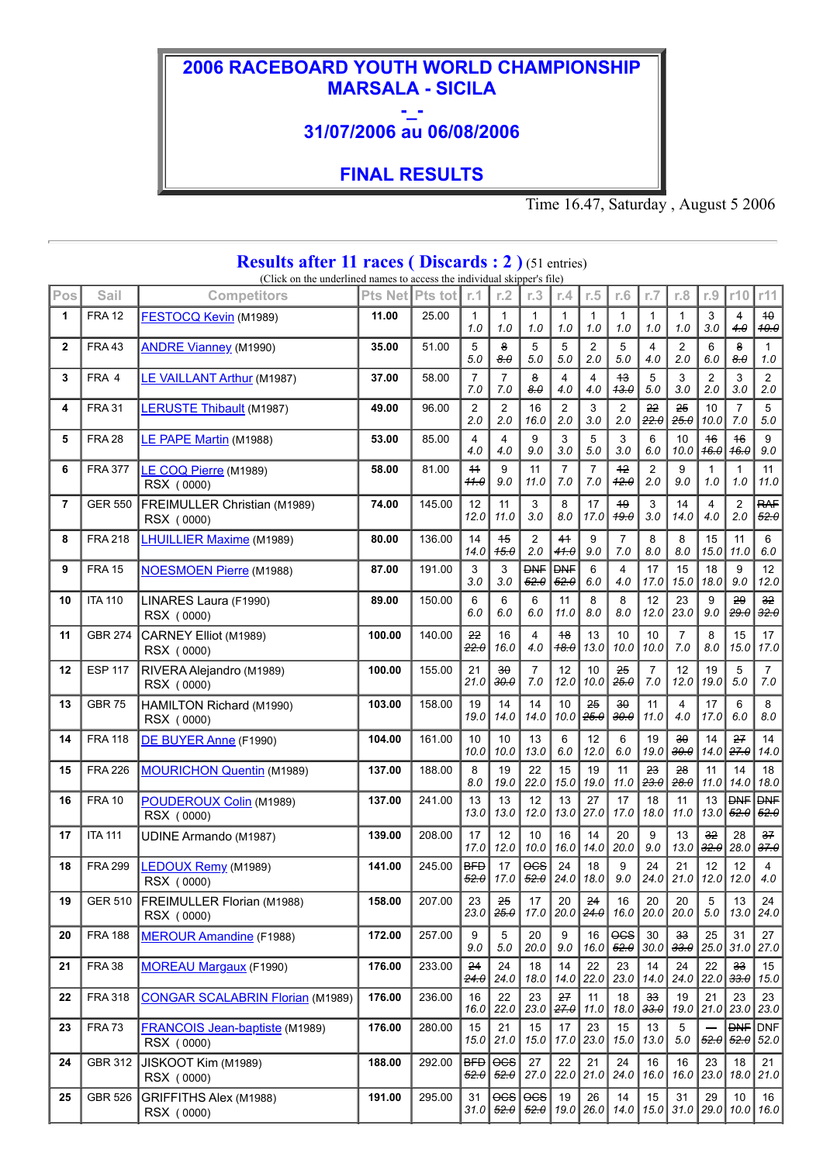## **2006 RACEBOARD YOUTH WORLD CHAMPIONSHIP MARSALA - SICILA**

## **-\_- 31/07/2006 au 06/08/2006**

## **FINAL RESULTS**

Time 16.47, Saturday , August 5 2006

| <b>Results after 11 races (Discards : 2)</b> (51 entries)<br>(Click on the underlined names to access the individual skipper's file) |                |                                                     |         |         |                       |                         |                                                                            |                         |                                |                       |                       |                                   |                           |                                           |                         |
|--------------------------------------------------------------------------------------------------------------------------------------|----------------|-----------------------------------------------------|---------|---------|-----------------------|-------------------------|----------------------------------------------------------------------------|-------------------------|--------------------------------|-----------------------|-----------------------|-----------------------------------|---------------------------|-------------------------------------------|-------------------------|
| Pos                                                                                                                                  | Sail           | <b>Competitors</b>                                  | Pts Net | Pts tot | r.1                   | r.2                     | r.3                                                                        | r.4                     | r.5                            | r.6                   | r.7                   | r.8                               | r.9                       | r10                                       | r11                     |
| 1                                                                                                                                    | <b>FRA 12</b>  | <b>FESTOCQ Kevin (M1989)</b>                        | 11.00   | 25.00   | $\mathbf{1}$<br>1.0   | $\mathbf{1}$<br>1.0     | $\mathbf{1}$<br>1.0                                                        | $\mathbf{1}$<br>1.0     | $\mathbf{1}$<br>1.0            | $\mathbf{1}$<br>1.0   | $\mathbf{1}$<br>1.0   | $\mathbf{1}$<br>1.0               | 3<br>3.0                  | $\overline{4}$<br>4.0                     | $+ \theta$<br>40.0      |
| $\mathbf{2}$                                                                                                                         | <b>FRA43</b>   | <b>ANDRE Vianney (M1990)</b>                        | 35.00   | 51.00   | 5<br>5.0              | 8<br>8.0                | 5<br>5.0                                                                   | 5<br>5.0                | $\overline{2}$<br>2.0          | 5<br>5.0              | 4<br>4.0              | 2<br>2.0                          | 6<br>6.0                  | 8<br>8.0                                  | $\mathbf{1}$<br>$1.0\,$ |
| 3                                                                                                                                    | FRA 4          | LE VAILLANT Arthur (M1987)                          | 37.00   | 58.00   | $\overline{7}$<br>7.0 | $\overline{7}$<br>7.0   | 8<br>8.0                                                                   | $\overline{4}$<br>4.0   | 4<br>4.0                       | $+3$<br>43.0          | 5<br>5.0              | 3<br>3.0                          | $\overline{2}$<br>2.0     | 3<br>3.0                                  | $\overline{2}$<br>2.0   |
| 4                                                                                                                                    | <b>FRA 31</b>  | <b>LERUSTE Thibault</b> (M1987)                     | 49.00   | 96.00   | 2<br>2.0              | $\boldsymbol{2}$<br>2.0 | 16<br>16.0                                                                 | $\overline{2}$<br>2.0   | 3<br>3.0                       | 2<br>2.0              | 22<br>22.0            | 25<br>25.0                        | 10<br>10.0                | $\overline{7}$<br>7.0                     | 5<br>$5.0\,$            |
| 5                                                                                                                                    | <b>FRA 28</b>  | LE PAPE Martin (M1988)                              | 53.00   | 85.00   | 4<br>4.0              | $\overline{4}$<br>4.0   | 9<br>9.0                                                                   | 3<br>3.0                | 5<br>5.0                       | 3<br>3.0              | 6<br>6.0              | 10<br>10.0                        | 16<br>16.0                | 16<br>16.0                                | 9<br>9.0                |
| 6                                                                                                                                    | <b>FRA 377</b> | LE COQ Pierre (M1989)<br>RSX (0000)                 | 58.00   | 81.00   | 11<br>44.0            | 9<br>9.0                | 11<br>11.0                                                                 | $\overline{7}$<br>$7.0$ | $\overline{7}$<br>7.0          | $+2$<br>42.0          | $\overline{2}$<br>2.0 | 9<br>9.0                          | $\mathbf{1}$<br>1.0       | $\mathbf{1}$<br>1.0                       | 11<br>11.0              |
| $\overline{7}$                                                                                                                       | <b>GER 550</b> | FREIMULLER Christian (M1989)<br>RSX (0000)          | 74.00   | 145.00  | 12<br>12.0            | 11<br>11.0              | 3<br>3.0                                                                   | 8<br>8.0                | 17<br>17.0                     | 49<br>49.0            | 3<br>3.0              | 14<br>14.0                        | $\overline{4}$<br>4.0     | $\overline{2}$<br>2.0                     | <b>RAF</b><br>52.0      |
| 8                                                                                                                                    | <b>FRA 218</b> | <b>LHUILLIER Maxime (M1989)</b>                     | 80.00   | 136.00  | 14<br>14.0            | 45<br>45.0              | $\overline{2}$<br>2.0                                                      | 41<br>41.0              | 9<br>9.0                       | $\overline{7}$<br>7.0 | 8<br>8.0              | 8<br>8.0                          | 15<br>15.0                | 11<br>11.0                                | 6<br>6.0                |
| 9                                                                                                                                    | <b>FRA 15</b>  | <b>NOESMOEN Pierre (M1988)</b>                      | 87.00   | 191.00  | 3<br>3.0              | 3<br>3.0                | <b>DNF</b><br>52.0                                                         | <b>DNF</b><br>52.0      | 6<br>6.0                       | 4<br>4.0              | 17<br>17.0            | 15<br>15.0                        | 18<br>18.0                | 9<br>9.0                                  | 12<br>12.0              |
| 10                                                                                                                                   | <b>ITA 110</b> | LINARES Laura (F1990)<br>RSX (0000)                 | 89.00   | 150.00  | 6<br>6.0              | 6<br>6.0                | 6<br>6.0                                                                   | 11<br>11.0              | 8<br>8.0                       | 8<br>8.0              | 12<br>12.0            | 23<br>23.0                        | 9<br>9.0                  | 29<br>29.0                                | 32 <sub>2</sub><br>32.0 |
| 11                                                                                                                                   | <b>GBR 274</b> | CARNEY Elliot (M1989)<br>RSX (0000)                 | 100.00  | 140.00  | 22<br>22.0            | 16<br>16.0              | 4<br>4.0                                                                   | 48<br>48.0              | 13<br>13.0                     | 10<br>10.0            | 10<br>10.0            | $\overline{7}$<br>7.0             | 8<br>8.0                  | 15<br>15.0                                | 17<br>17.0              |
| 12                                                                                                                                   | <b>ESP 117</b> | RIVERA Alejandro (M1989)<br>RSX (0000)              | 100.00  | 155.00  | 21<br>21.0            | $30^{\circ}$<br>30.0    | $\overline{7}$<br>7.0                                                      | 12<br>12.0              | 10<br>10.0                     | 25<br>25.0            | $\overline{7}$<br>7.0 | 12<br>12.0                        | 19<br>19.0                | 5<br>5.0                                  | 7<br>$7.0\,$            |
| 13                                                                                                                                   | <b>GBR 75</b>  | HAMILTON Richard (M1990)<br>RSX (0000)              | 103.00  | 158.00  | 19<br>19.0            | 14<br>14.0              | 14<br>14.0                                                                 | 10<br>10.0              | 25<br>25.0                     | 30<br>30.0            | 11<br>11.0            | 4<br>4.0                          | 17<br>17.0                | 6<br>6.0                                  | 8<br>8.0                |
| 14                                                                                                                                   | <b>FRA 118</b> | DE BUYER Anne (F1990)                               | 104.00  | 161.00  | 10<br>10.0            | 10<br>10.0              | 13<br>13.0                                                                 | 6<br>6.0                | 12<br>12.0                     | 6<br>6.0              | 19<br>19.0            | 30<br>30.0                        | 14<br>14.0                | 27<br>27.0                                | 14<br>14.0              |
| 15                                                                                                                                   | <b>FRA 226</b> | <b>MOURICHON Quentin (M1989)</b>                    | 137.00  | 188.00  | 8<br>8.0              | 19<br>19.0              | 22<br>22.0                                                                 | 15<br>15.0              | 19<br>19.0                     | 11<br>11.0            | 23<br>23.0            | 28<br>28.0                        | 11<br>11.0                | 14<br>14.0                                | 18<br>18.0              |
| 16                                                                                                                                   | <b>FRA 10</b>  | POUDEROUX Colin (M1989)<br>RSX (0000)               | 137.00  | 241.00  | 13<br>13.0            | 13<br>13.0              | 12<br>12.0                                                                 | 13<br>13.0              | 27<br>27.0                     | 17<br>17.0            | 18<br>18.0            | 11<br>11.0                        | 13<br>13.0                | <b>DNF</b><br>52.0                        | <b>DNF</b><br>52.0      |
| 17                                                                                                                                   | <b>ITA 111</b> | UDINE Armando (M1987)                               | 139.00  | 208.00  | 17<br>17.0            | 12<br>12.0              | 10<br>10.0                                                                 | 16<br>16.0              | 14<br>14.0                     | 20<br>20.0            | 9<br>9.0              | 13<br>13.0                        | 32<br>$ \overline{32.0} $ | 28<br>28.0                                | 37<br>37.0              |
| 18                                                                                                                                   | <b>FRA 299</b> | LEDOUX Remy (M1989)<br>RSX (0000)                   | 141.00  | 245.00  | <b>BFD</b><br>52.0    | 17                      | $- 0$<br>17.0 $\left  \frac{52.0}{24.0} \right $ 18.0 $\left  9.0 \right $ | 24                      | 18                             | 9                     | 24                    | 21<br>  24.0   21.0   12.0   12.0 | 12                        | 12                                        | $\overline{4}$<br>4.0   |
| 19                                                                                                                                   | <b>GER 510</b> | FREIMULLER Florian (M1988)<br>RSX (0000)            | 158.00  | 207.00  | 23<br>23.0            | 25<br>25.0              | 17<br>17.0                                                                 | 20                      | 24<br>$20.0$ $24.0$            | 16<br>16.0            | 20<br>20.0            | 20<br>20.0                        | 5<br>5.0                  | 13                                        | 24<br>$13.0$ 24.0       |
| 20                                                                                                                                   | <b>FRA 188</b> | <b>MEROUR Amandine</b> (F1988)                      | 172.00  | 257.00  | 9<br>9.0              | 5<br>$5.0$              | 20<br>20.0                                                                 | 9<br>9.0                | 16<br>16.0                     | $0$ cs<br>52.0        | 30<br>30.0            | 33<br>33.0                        | 25<br>25.0                | 31                                        | 27<br>$31.0$ 27.0       |
| 21                                                                                                                                   | <b>FRA 38</b>  | <b>MOREAU Margaux (F1990)</b>                       | 176.00  | 233.00  | 24<br>24.0            | 24<br>24.0              | 18<br>18.0                                                                 | 14<br>14.0              | 22<br>22.0                     | 23<br>23.0            | 14<br>14.0            | 24<br>24.0                        | 22<br> 22.0               | 33                                        | 15<br>$33.0$ 15.0       |
| 22                                                                                                                                   | <b>FRA 318</b> | <b>CONGAR SCALABRIN Florian (M1989)</b>             | 176.00  | 236.00  | 16<br>16.0            | 22<br>22.0              | 23<br>23.0                                                                 | 27                      | 11<br>  <del>27.0</del>   11.0 | 18<br>18.0            | 33<br>33.0            | 19<br>19.0                        | 21<br> 21.0               | 23                                        | 23<br>$23.0$ 23.0       |
| 23                                                                                                                                   | <b>FRA73</b>   | <b>FRANCOIS Jean-baptiste (M1989)</b><br>RSX (0000) | 176.00  | 280.00  | 15<br>15.0            | 21<br>21.0              | 15<br>15.0                                                                 | 17                      | 23<br>$17.0$ 23.0              | 15<br>15.0            | 13<br>13.0            | 5<br>$5.0$                        |                           | <del>52.0</del>    <del>52.0</del>   52.0 | <b>DNF</b> DNF          |
| 24                                                                                                                                   | GBR 312        | JISKOOT Kim (M1989)<br>RSX (0000)                   | 188.00  | 292.00  | BFD<br>52.0           | 52.0                    | 27<br>27.0                                                                 | 22                      | 21<br>  22.0   21.0            | 24<br>24.0            | 16<br>16.0            | 16                                | 23<br>$16.0$ 23.0         | 18                                        | 21<br>$18.0$ 21.0       |
| 25                                                                                                                                   | <b>GBR 526</b> | GRIFFITHS Alex (M1988)<br>RSX (0000)                | 191.00  | 295.00  | 31<br>31.0            | 52.0                    | $\frac{1}{10}$ $\frac{1}{10}$<br>52.0                                      | 19                      | 26<br> 19.0 26.0               | 14                    | 15                    | 31<br>14.0   15.0   31.0   29.0   | 29                        | 10                                        | 16<br>$10.0$ 16.0       |